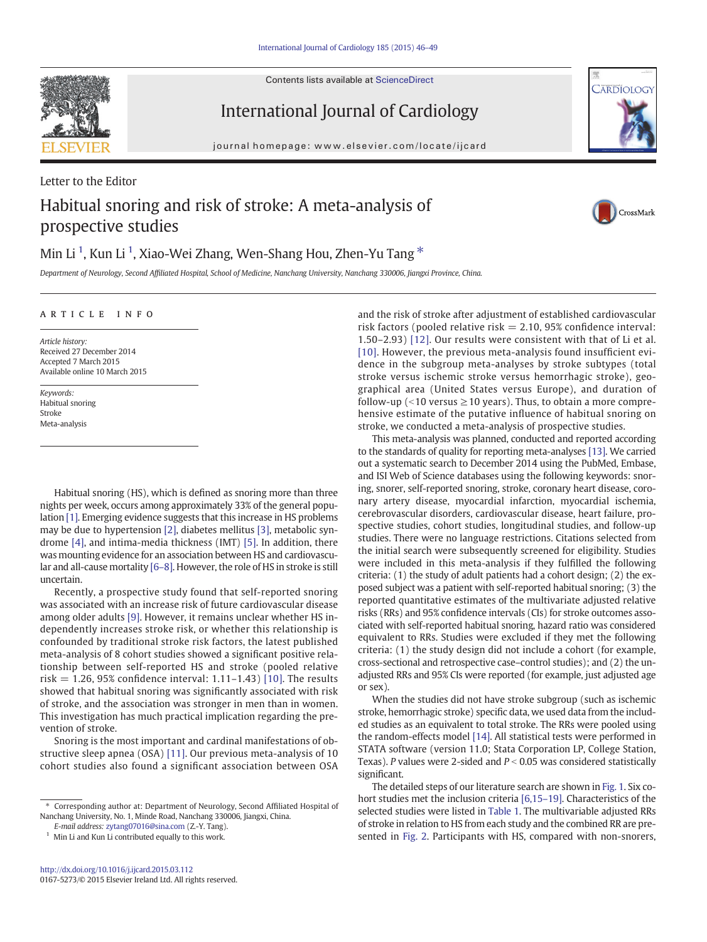Contents lists available at [ScienceDirect](http://www.sciencedirect.com/science/journal/01675273)



CARDIOLOG

# International Journal of Cardiology

journal homepage:<www.elsevier.com/locate/ijcard>

# Letter to the Editor Habitual snoring and risk of stroke: A meta-analysis of prospective studies



# Min Li  $^1$ , Kun Li  $^1$ , Xiao-Wei Zhang, Wen-Shang Hou, Zhen-Yu Tang  $^\ast$

Department of Neurology, Second Affiliated Hospital, School of Medicine, Nanchang University, Nanchang 330006, Jiangxi Province, China.

## article info

Article history: Received 27 December 2014 Accepted 7 March 2015 Available online 10 March 2015

Keywords: Habitual snoring Stroke Meta-analysis

Habitual snoring (HS), which is defined as snoring more than three nights per week, occurs among approximately 33% of the general population [\[1\].](#page-3-0) Emerging evidence suggests that this increase in HS problems may be due to hypertension [\[2\]](#page-3-0), diabetes mellitus [\[3\],](#page-3-0) metabolic syndrome [\[4\],](#page-3-0) and intima-media thickness (IMT) [\[5\].](#page-3-0) In addition, there was mounting evidence for an association between HS and cardiovascular and all-cause mortality [\[6](#page-3-0)–8]. However, the role of HS in stroke is still uncertain.

Recently, a prospective study found that self-reported snoring was associated with an increase risk of future cardiovascular disease among older adults [\[9\].](#page-3-0) However, it remains unclear whether HS independently increases stroke risk, or whether this relationship is confounded by traditional stroke risk factors, the latest published meta-analysis of 8 cohort studies showed a significant positive relationship between self-reported HS and stroke (pooled relative risk  $= 1.26$ , 95% confidence interval: 1.11–1.43) [\[10\]](#page-3-0). The results showed that habitual snoring was significantly associated with risk of stroke, and the association was stronger in men than in women. This investigation has much practical implication regarding the prevention of stroke.

Snoring is the most important and cardinal manifestations of obstructive sleep apnea (OSA) [\[11\]](#page-3-0). Our previous meta-analysis of 10 cohort studies also found a significant association between OSA and the risk of stroke after adjustment of established cardiovascular risk factors (pooled relative risk  $= 2.10, 95\%$  confidence interval: 1.50–2.93) [\[12\].](#page-3-0) Our results were consistent with that of Li et al. [\[10\]](#page-3-0). However, the previous meta-analysis found insufficient evidence in the subgroup meta-analyses by stroke subtypes (total stroke versus ischemic stroke versus hemorrhagic stroke), geographical area (United States versus Europe), and duration of follow-up (<10 versus  $\geq$ 10 years). Thus, to obtain a more comprehensive estimate of the putative influence of habitual snoring on stroke, we conducted a meta-analysis of prospective studies.

This meta-analysis was planned, conducted and reported according to the standards of quality for reporting meta-analyses [\[13\]](#page-3-0). We carried out a systematic search to December 2014 using the PubMed, Embase, and ISI Web of Science databases using the following keywords: snoring, snorer, self-reported snoring, stroke, coronary heart disease, coronary artery disease, myocardial infarction, myocardial ischemia, cerebrovascular disorders, cardiovascular disease, heart failure, prospective studies, cohort studies, longitudinal studies, and follow-up studies. There were no language restrictions. Citations selected from the initial search were subsequently screened for eligibility. Studies were included in this meta-analysis if they fulfilled the following criteria: (1) the study of adult patients had a cohort design; (2) the exposed subject was a patient with self-reported habitual snoring; (3) the reported quantitative estimates of the multivariate adjusted relative risks (RRs) and 95% confidence intervals (CIs) for stroke outcomes associated with self-reported habitual snoring, hazard ratio was considered equivalent to RRs. Studies were excluded if they met the following criteria: (1) the study design did not include a cohort (for example, cross-sectional and retrospective case–control studies); and (2) the unadjusted RRs and 95% CIs were reported (for example, just adjusted age or sex).

When the studies did not have stroke subgroup (such as ischemic stroke, hemorrhagic stroke) specific data, we used data from the included studies as an equivalent to total stroke. The RRs were pooled using the random-effects model [\[14\].](#page-3-0) All statistical tests were performed in STATA software (version 11.0; Stata Corporation LP, College Station, Texas). P values were 2-sided and  $P < 0.05$  was considered statistically significant.

The detailed steps of our literature search are shown in [Fig. 1.](#page-1-0) Six cohort studies met the inclusion criteria [\[6,15](#page-3-0)–19]. Characteristics of the selected studies were listed in [Table 1](#page-1-0). The multivariable adjusted RRs of stroke in relation to HS from each study and the combined RR are presented in [Fig. 2.](#page-2-0) Participants with HS, compared with non-snorers,

<sup>⁎</sup> Corresponding author at: Department of Neurology, Second Affiliated Hospital of Nanchang University, No. 1, Minde Road, Nanchang 330006, Jiangxi, China.

E-mail address: [zytang07016@sina.com](mailto:zytang07016@sina.com) (Z.-Y. Tang).

 $1$  Min Li and Kun Li contributed equally to this work.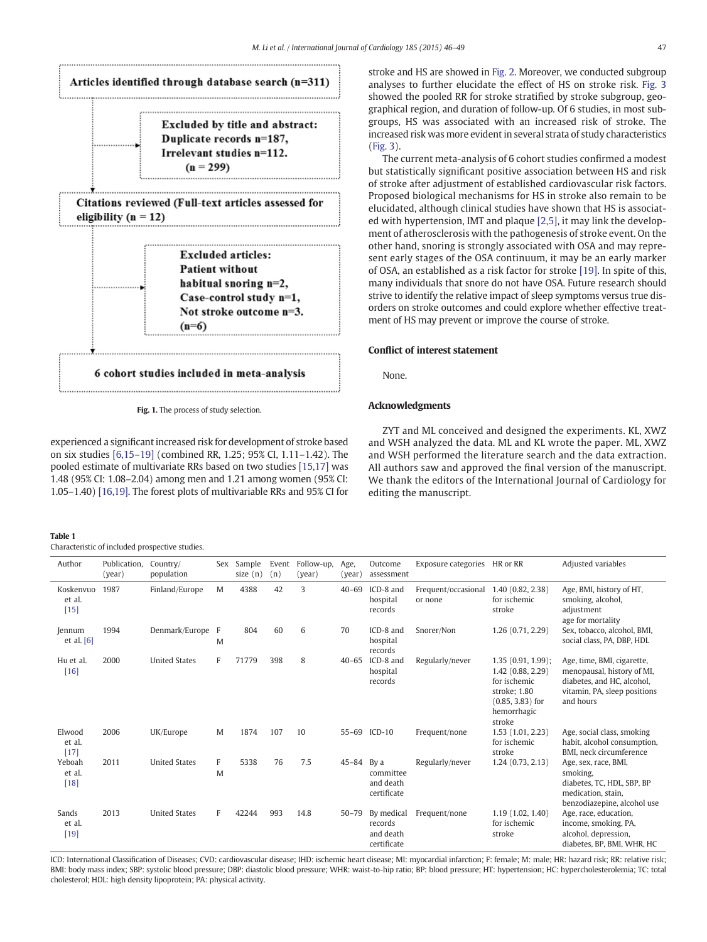<span id="page-1-0"></span>

Fig. 1. The process of study selection.

experienced a significant increased risk for development of stroke based on six studies [\[6,15](#page-3-0)–19] (combined RR, 1.25; 95% CI, 1.11–1.42). The pooled estimate of multivariate RRs based on two studies [\[15,17\]](#page-3-0) was 1.48 (95% CI: 1.08–2.04) among men and 1.21 among women (95% CI: 1.05–1.40) [\[16,19\].](#page-3-0) The forest plots of multivariable RRs and 95% CI for

#### Table 1

Characteristic of included prospective studies.

stroke and HS are showed in [Fig. 2](#page-2-0). Moreover, we conducted subgroup analyses to further elucidate the effect of HS on stroke risk. [Fig. 3](#page-2-0) showed the pooled RR for stroke stratified by stroke subgroup, geographical region, and duration of follow-up. Of 6 studies, in most subgroups, HS was associated with an increased risk of stroke. The increased risk was more evident in several strata of study characteristics [\(Fig. 3\)](#page-2-0).

The current meta-analysis of 6 cohort studies confirmed a modest but statistically significant positive association between HS and risk of stroke after adjustment of established cardiovascular risk factors. Proposed biological mechanisms for HS in stroke also remain to be elucidated, although clinical studies have shown that HS is associated with hypertension, IMT and plaque [\[2,5\],](#page-3-0) it may link the development of atherosclerosis with the pathogenesis of stroke event. On the other hand, snoring is strongly associated with OSA and may represent early stages of the OSA continuum, it may be an early marker of OSA, an established as a risk factor for stroke [\[19\]](#page-3-0). In spite of this, many individuals that snore do not have OSA. Future research should strive to identify the relative impact of sleep symptoms versus true disorders on stroke outcomes and could explore whether effective treatment of HS may prevent or improve the course of stroke.

#### Conflict of interest statement

None.

### Acknowledgments

ZYT and ML conceived and designed the experiments. KL, XWZ and WSH analyzed the data. ML and KL wrote the paper. ML, XWZ and WSH performed the literature search and the data extraction. All authors saw and approved the final version of the manuscript. We thank the editors of the International Journal of Cardiology for editing the manuscript.

| Author                        | Publication.<br>(year) | Country/<br>population | Sex    | Sample<br>size $(n)$ | Event<br>(n) | Follow-up,<br>(year) | Age,<br>(year) | Outcome<br>assessment                             | Exposure categories HR or RR   |                                                                                                                          | Adjusted variables                                                                                                                  |
|-------------------------------|------------------------|------------------------|--------|----------------------|--------------|----------------------|----------------|---------------------------------------------------|--------------------------------|--------------------------------------------------------------------------------------------------------------------------|-------------------------------------------------------------------------------------------------------------------------------------|
| Koskenvuo<br>et al.<br>$[15]$ | 1987                   | Finland/Europe         | M      | 4388                 | 42           | 3                    | $40 - 69$      | ICD-8 and<br>hospital<br>records                  | Frequent/occasional<br>or none | 1.40 (0.82, 2.38)<br>for ischemic<br>stroke                                                                              | Age, BMI, history of HT,<br>smoking, alcohol,<br>adjustment<br>age for mortality                                                    |
| Jennum<br>et al. $[6]$        | 1994                   | Denmark/Europe         | F<br>M | 804                  | 60           | 6                    | 70             | ICD-8 and<br>hospital<br>records                  | Snorer/Non                     | 1.26 (0.71, 2.29)                                                                                                        | Sex, tobacco, alcohol, BMI,<br>social class, PA, DBP, HDL                                                                           |
| Hu et al.<br>$[16]$           | 2000                   | <b>United States</b>   | F      | 71779                | 398          | 8                    | $40 - 65$      | ICD-8 and<br>hospital<br>records                  | Regularly/never                | $1.35(0.91, 1.99)$ ;<br>1.42 (0.88, 2.29)<br>for ischemic<br>stroke; 1.80<br>$(0.85, 3.83)$ for<br>hemorrhagic<br>stroke | Age, time, BMI, cigarette,<br>menopausal, history of MI,<br>diabetes, and HC, alcohol,<br>vitamin, PA, sleep positions<br>and hours |
| Elwood<br>et al.<br>$[17]$    | 2006                   | UK/Europe              | M      | 1874                 | 107          | 10                   | $55 - 69$      | $ICD-10$                                          | Frequent/none                  | 1.53(1.01, 2.23)<br>for ischemic<br>stroke                                                                               | Age, social class, smoking<br>habit, alcohol consumption,<br>BMI, neck circumference                                                |
| Yeboah<br>et al.<br>$[18]$    | 2011                   | <b>United States</b>   | F<br>M | 5338                 | 76           | 7.5                  | $45 - 84$      | By a<br>committee<br>and death<br>certificate     | Regularly/never                | 1.24(0.73, 2.13)                                                                                                         | Age, sex, race, BMI,<br>smoking.<br>diabetes, TC, HDL, SBP, BP<br>medication, stain,<br>benzodiazepine, alcohol use                 |
| Sands<br>et al.<br>$[19]$     | 2013                   | <b>United States</b>   | F      | 42244                | 993          | 14.8                 | $50 - 79$      | By medical<br>records<br>and death<br>certificate | Frequent/none                  | 1.19 (1.02, 1.40)<br>for ischemic<br>stroke                                                                              | Age, race, education,<br>income, smoking, PA,<br>alcohol, depression,<br>diabetes, BP, BMI, WHR, HC                                 |

ICD: International Classification of Diseases; CVD: cardiovascular disease; IHD: ischemic heart disease; MI: myocardial infarction; F: female; M: male; HR: hazard risk; RR: relative risk; BMI: body mass index; SBP: systolic blood pressure; DBP: diastolic blood pressure; WHR: waist-to-hip ratio; BP: blood pressure; HT: hypertension; HC: hypercholesterolemia; TC: total cholesterol; HDL: high density lipoprotein; PA: physical activity.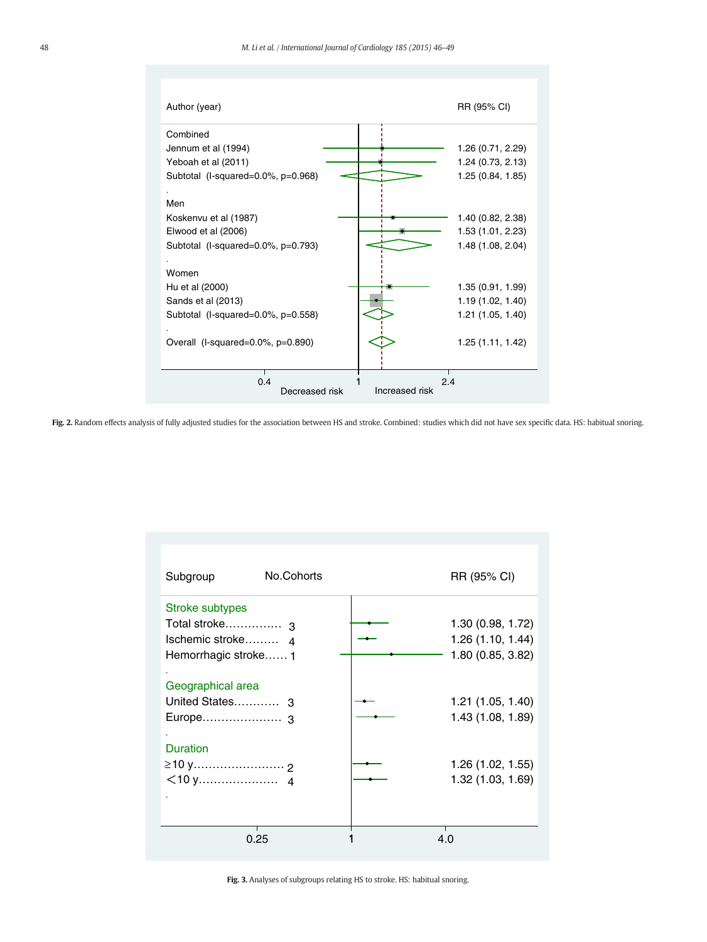<span id="page-2-0"></span>

| Combined                                                     |  |
|--------------------------------------------------------------|--|
| Jennum et al (1994)<br>1.26 (0.71, 2.29)                     |  |
| 1.24 (0.73, 2.13)<br>Yeboah et al (2011)                     |  |
| 1.25 (0.84, 1.85)<br>Subtotal (I-squared=0.0%, p=0.968)      |  |
| Men                                                          |  |
| 1.40 (0.82, 2.38)<br>Koskenvu et al (1987)                   |  |
| 1.53 (1.01, 2.23)<br>Elwood et al (2006)                     |  |
| Subtotal (I-squared=0.0%, p=0.793)<br>1.48 (1.08, 2.04)      |  |
| Women                                                        |  |
| Hu et al (2000)<br>1.35 (0.91, 1.99)                         |  |
| Sands et al (2013)<br>1.19 (1.02, 1.40)                      |  |
| Subtotal (I-squared=0.0%, p=0.558)<br>1.21 (1.05, 1.40)      |  |
|                                                              |  |
| 1.25 (1.11, 1.42)<br>Overall $(l$ -squared=0.0%, $p=0.890$ ) |  |
|                                                              |  |
| 0.4<br>2.4<br>Increased risk<br>Decreased risk               |  |

Fig. 2. Random effects analysis of fully adjusted studies for the association between HS and stroke. Combined: studies which did not have sex specific data. HS: habitual snoring.

| Subgroup                                                                       | No.Cohorts | RR (95% CI)                                                 |
|--------------------------------------------------------------------------------|------------|-------------------------------------------------------------|
| Stroke subtypes<br>Total stroke 3<br>Ischemic stroke 4<br>Hemorrhagic stroke 1 |            | 1.30 (0.98, 1.72)<br>1.26 (1.10, 1.44)<br>1.80 (0.85, 3.82) |
| Geographical area<br>United States 3                                           |            | 1.21 (1.05, 1.40)<br>1.43 (1.08, 1.89)                      |
| <b>Duration</b><br>≥10 y…………………… 2                                             |            | 1.26 (1.02, 1.55)<br>1.32 (1.03, 1.69)                      |
| 0.25                                                                           |            | 4 በ                                                         |

Fig. 3. Analyses of subgroups relating HS to stroke. HS: habitual snoring.